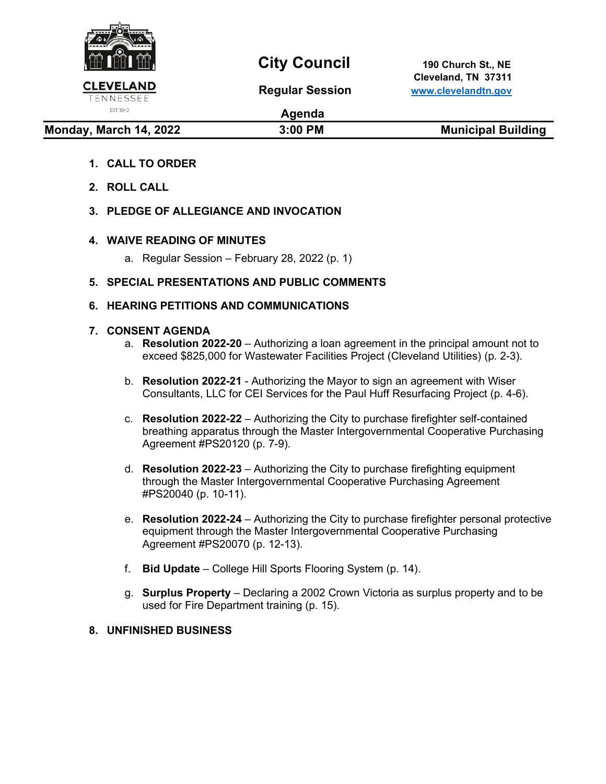

## **City Council** 190 Church St., NE

 **Cleveland, TN 37311 Regular Session [www.clevelandtn.gov](http://www.clevelandtn.gov/)**

# EST. 1842

### **Agenda**

**Monday, March 14, 2022** 3:00 PM 3:00 PM Municipal Building

- **1. CALL TO ORDER**
- **2. ROLL CALL**
- **3. PLEDGE OF ALLEGIANCE AND INVOCATION**

#### **4. WAIVE READING OF MINUTES**

a. Regular Session – February 28, 2022 (p. 1)

#### **5. SPECIAL PRESENTATIONS AND PUBLIC COMMENTS**

#### **6. HEARING PETITIONS AND COMMUNICATIONS**

#### **7. CONSENT AGENDA**

- a. **Resolution 2022-20**  Authorizing a loan agreement in the principal amount not to exceed \$825,000 for Wastewater Facilities Project (Cleveland Utilities) (p. 2-3).
- b. **Resolution 2022-21** Authorizing the Mayor to sign an agreement with Wiser Consultants, LLC for CEI Services for the Paul Huff Resurfacing Project (p. 4-6).
- c. **Resolution 2022-22** Authorizing the City to purchase firefighter self-contained breathing apparatus through the Master Intergovernmental Cooperative Purchasing Agreement #PS20120 (p. 7-9).
- d. **Resolution 2022-23** Authorizing the City to purchase firefighting equipment through the Master Intergovernmental Cooperative Purchasing Agreement #PS20040 (p. 10-11).
- e. **Resolution 2022-24** Authorizing the City to purchase firefighter personal protective equipment through the Master Intergovernmental Cooperative Purchasing Agreement #PS20070 (p. 12-13).
- f. **Bid Update** College Hill Sports Flooring System (p. 14).
- g. **Surplus Property** Declaring a 2002 Crown Victoria as surplus property and to be used for Fire Department training (p. 15).

#### **8. UNFINISHED BUSINESS**